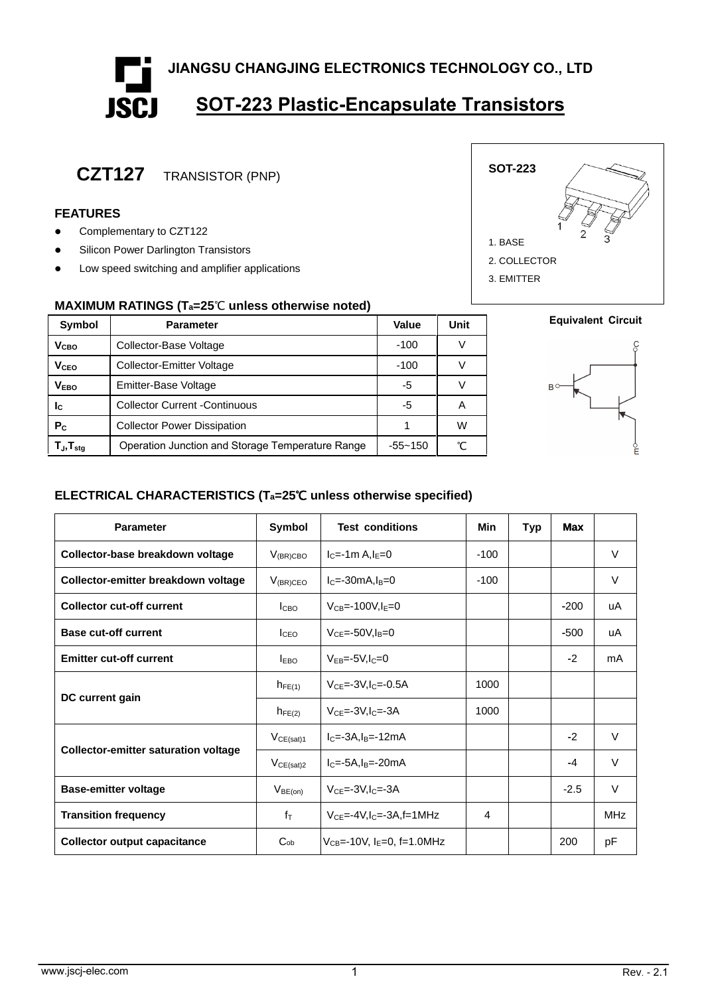# **JIANGSU CHANGJING ELECTRONICS TECHNOLOGY CO., LTD SOT-223 Plastic-Encapsulate Transistors JSCJ**

# **CZT127** TRANSISTOR (PNP)

### **FEATURES**

- Complementary to CZT122
- **•** Silicon Power Darlington Transistors
- Low speed switching and amplifier applications



## **MAXIMUM RATINGS (Ta=25**℃ **unless otherwise noted)**

| <b>Symbol</b>            | <b>Parameter</b>                                 | Value   | Unit |
|--------------------------|--------------------------------------------------|---------|------|
| V <sub>CBO</sub>         | Collector-Base Voltage                           | $-100$  |      |
| <b>V<sub>CEO</sub></b>   | Collector-Emitter Voltage                        | $-100$  |      |
| <b>VEBO</b>              | Emitter-Base Voltage                             | -5      |      |
| Ιc                       | <b>Collector Current -Continuous</b>             | -5      | A    |
| $P_{C}$                  | <b>Collector Power Dissipation</b>               |         | W    |
| $T_{\sf J}, T_{\sf stg}$ | Operation Junction and Storage Temperature Range | -55~150 | ℃    |





## **ELECTRICAL CHARACTERISTICS (Ta=25**℃ **unless otherwise specified)**

| <b>Parameter</b>                            | Symbol           | <b>Test conditions</b>                 | Min            | <b>Typ</b> | <b>Max</b> |            |
|---------------------------------------------|------------------|----------------------------------------|----------------|------------|------------|------------|
| Collector-base breakdown voltage            | $V_{(BR)CBO}$    | $I_{C}$ =-1m A, $I_{F}$ =0             | $-100$         |            |            | $\vee$     |
| Collector-emitter breakdown voltage         | $V_{(BR)CEO}$    | $IC=-30mAlB=0$                         | $-100$         |            |            | $\vee$     |
| <b>Collector cut-off current</b>            | I <sub>CBO</sub> | $V_{CB} = -100V$ , IF=0                |                |            | $-200$     | uA         |
| <b>Base cut-off current</b>                 | I <sub>CEO</sub> | $V_{CF} = -50V I_B = 0$                |                |            | $-500$     | uA         |
| <b>Emitter cut-off current</b>              | <b>IEBO</b>      | $V_{FB} = -5V I_{C} = 0$               |                |            | $-2$       | mA         |
|                                             | $h_{FE(1)}$      | $V_{CF} = -3V I_{C} = -0.5A$           | 1000           |            |            |            |
| DC current gain                             | $h_{FE(2)}$      | $VCE=-3V, IC=-3A$                      | 1000           |            |            |            |
|                                             | $V_{CE(sat)1}$   | $IC=-3A,IB=-12mA$                      |                |            | $-2$       | $\vee$     |
| <b>Collector-emitter saturation voltage</b> | $V_{CE(sat)2}$   | $IC=-5A, IB=-20mA$                     |                |            | $-4$       | $\vee$     |
| <b>Base-emitter voltage</b>                 | $V_{BE(on)}$     | $V_{CF} = -3V I_{C} = -3A$             |                |            | $-2.5$     | $\vee$     |
| <b>Transition frequency</b>                 | $f_T$            | $V_{CE} = -4V I_{C} = -3A.f = 1MHz$    | $\overline{4}$ |            |            | <b>MHz</b> |
| <b>Collector output capacitance</b>         | Co <sub>b</sub>  | $V_{CB} = -10V$ , $I_E = 0$ , f=1.0MHz |                |            | 200        | pF         |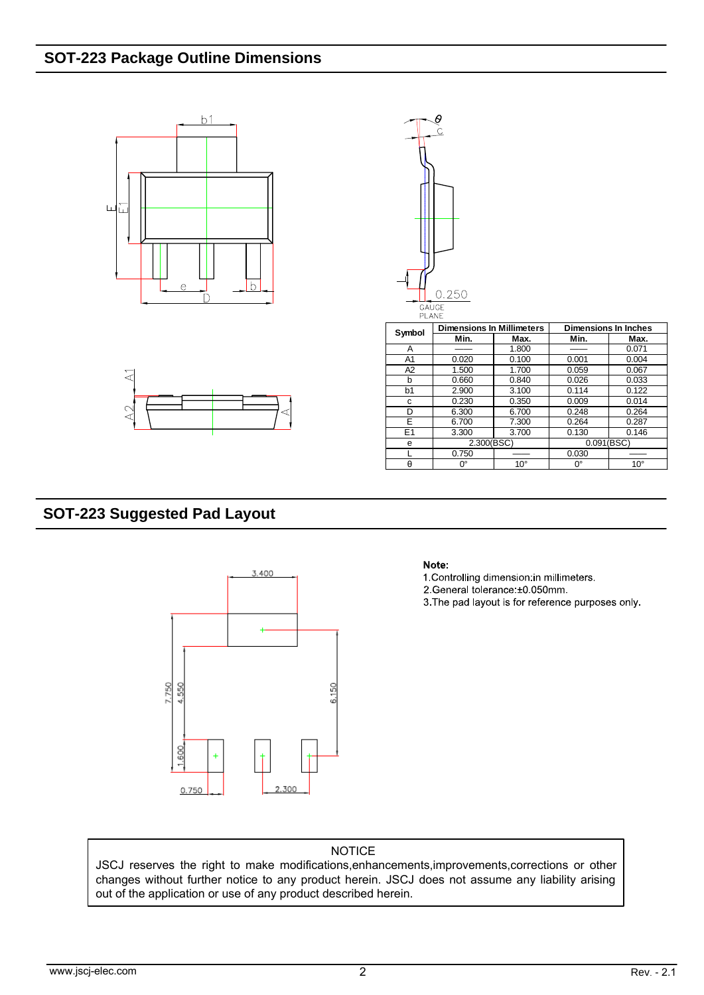## **SOT-223 Package Outline Dimensions**







| Symbol         | <b>Dimensions In Millimeters</b> |              | <b>Dimensions In Inches</b> |              |  |
|----------------|----------------------------------|--------------|-----------------------------|--------------|--|
|                | Min.                             | Max.         | Min.                        | Max.         |  |
| A              |                                  | 1.800        |                             | 0.071        |  |
| A1             | 0.020                            | 0.100        | 0.001                       | 0.004        |  |
| A <sub>2</sub> | 1.500                            | 1.700        | 0.059                       | 0.067        |  |
| b              | 0.660                            | 0.840        | 0.026                       | 0.033        |  |
| b1             | 2.900                            | 3.100        | 0.114                       | 0.122        |  |
| c              | 0.230                            | 0.350        | 0.009                       | 0.014        |  |
| D              | 6.300                            | 6.700        | 0.248                       | 0.264        |  |
| E              | 6.700                            | 7.300        | 0.264                       | 0.287        |  |
| E1             | 3.300                            | 3.700        | 0.130                       | 0.146        |  |
| e              | 2.300(BSC)                       |              | 0.091(BSC)                  |              |  |
|                | 0.750                            |              | 0.030                       |              |  |
| $\theta$       | 0°                               | $10^{\circ}$ | 0°                          | $10^{\circ}$ |  |

## **SOT-223 Suggested Pad Layout**



#### Note:

1. Controlling dimension: in millimeters.

2. General tolerance: ±0.050mm.

3. The pad layout is for reference purposes only.

#### **NOTICE**

JSCJ reserves the right to make modifications,enhancements,improvements,corrections or other changes without further notice to any product herein. JSCJ does not assume any liability arising out of the application or use of any product described herein.